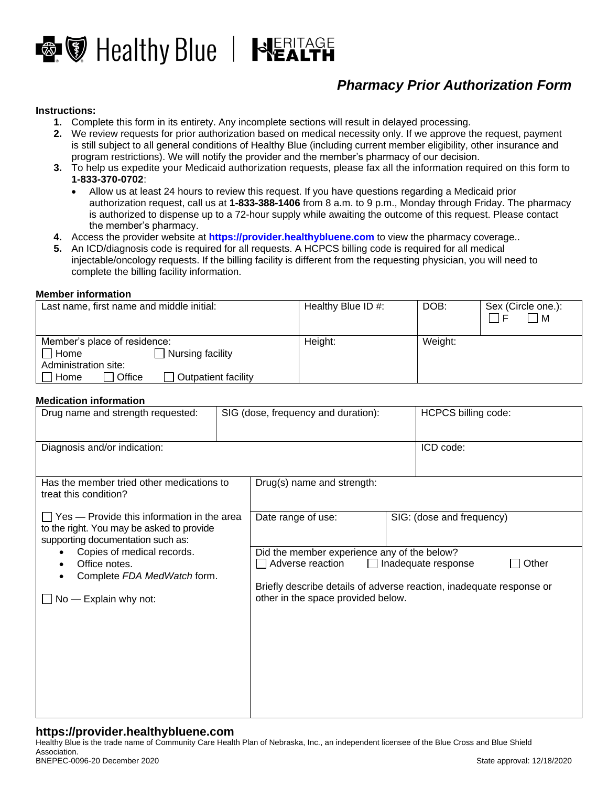

# *Pharmacy Prior Authorization Form*

#### **Instructions:**

- **1.** Complete this form in its entirety. Any incomplete sections will result in delayed processing.
- **2.** We review requests for prior authorization based on medical necessity only. If we approve the request, payment is still subject to all general conditions of Healthy Blue (including current member eligibility, other insurance and program restrictions). We will notify the provider and the member's pharmacy of our decision.
- **3.** To help us expedite your Medicaid authorization requests, please fax all the information required on this form to **1-833-370-0702**:
	- Allow us at least 24 hours to review this request. If you have questions regarding a Medicaid prior authorization request, call us at **1-833-388-1406** from 8 a.m. to 9 p.m., Monday through Friday. The pharmacy is authorized to dispense up to a 72-hour supply while awaiting the outcome of this request. Please contact the member's pharmacy.
- **4.** Access the provider website at **[https://provider.healthybluene.com](https://provider.healthybluene.com/)** to view the pharmacy coverage..
- **5.** An ICD/diagnosis code is required for all requests. A HCPCS billing code is required for all medical injectable/oncology requests. If the billing facility is different from the requesting physician, you will need to complete the billing facility information.

#### **Member information**

| Last name, first name and middle initial:                   | Healthy Blue ID #: | DOB:    | Sex (Circle one.):<br>$\blacksquare$ |
|-------------------------------------------------------------|--------------------|---------|--------------------------------------|
| Member's place of residence:<br>Nursing facility<br>' ]Home | Height:            | Weight: |                                      |
| Administration site:                                        |                    |         |                                      |
| Office<br>Outpatient facility<br>Home                       |                    |         |                                      |

#### **Medication information**

| Drug name and strength requested:                                                                                                                                                                                                               |  | SIG (dose, frequency and duration):                                                                                                                                                                           |           | HCPCS billing code:       |  |
|-------------------------------------------------------------------------------------------------------------------------------------------------------------------------------------------------------------------------------------------------|--|---------------------------------------------------------------------------------------------------------------------------------------------------------------------------------------------------------------|-----------|---------------------------|--|
| Diagnosis and/or indication:                                                                                                                                                                                                                    |  |                                                                                                                                                                                                               | ICD code: |                           |  |
| Has the member tried other medications to<br>treat this condition?                                                                                                                                                                              |  | Drug(s) name and strength:                                                                                                                                                                                    |           |                           |  |
| $\Box$ Yes — Provide this information in the area<br>to the right. You may be asked to provide<br>supporting documentation such as:<br>Copies of medical records.<br>Office notes.<br>٠<br>Complete FDA MedWatch form.<br>No - Explain why not: |  | Date range of use:                                                                                                                                                                                            |           | SIG: (dose and frequency) |  |
|                                                                                                                                                                                                                                                 |  | Did the member experience any of the below?<br>Other<br>Adverse reaction<br>Inadequate response<br>Briefly describe details of adverse reaction, inadequate response or<br>other in the space provided below. |           |                           |  |
|                                                                                                                                                                                                                                                 |  |                                                                                                                                                                                                               |           |                           |  |
|                                                                                                                                                                                                                                                 |  |                                                                                                                                                                                                               |           |                           |  |
|                                                                                                                                                                                                                                                 |  |                                                                                                                                                                                                               |           |                           |  |

## **https://provider.healthybluene.com**

Healthy Blue is the trade name of Community Care Health Plan of Nebraska, Inc., an independent licensee of the Blue Cross and Blue Shield Association.